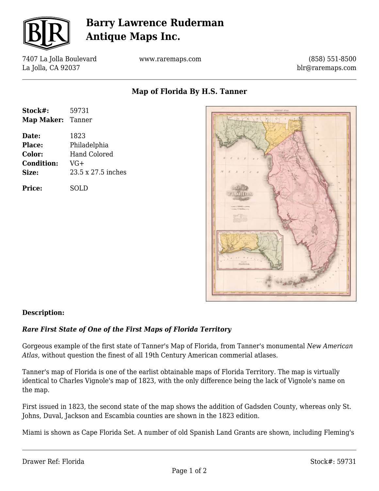

# **Barry Lawrence Ruderman Antique Maps Inc.**

7407 La Jolla Boulevard La Jolla, CA 92037

www.raremaps.com

(858) 551-8500 blr@raremaps.com

**Map of Florida By H.S. Tanner**

| Stock#:           | 59731               |
|-------------------|---------------------|
| Map Maker: Tanner |                     |
| Date:             | 1823                |
| <b>Place:</b>     | Philadelphia        |
| Color:            | <b>Hand Colored</b> |
| <b>Condition:</b> | $VG+$               |
| Size:             | 23.5 x 27.5 inches  |
| <b>Price:</b>     | SOLD                |



### **Description:**

#### *Rare First State of One of the First Maps of Florida Territory*

Gorgeous example of the first state of Tanner's Map of Florida, from Tanner's monumental *New American Atlas*, without question the finest of all 19th Century American commerial atlases.

Tanner's map of Florida is one of the earlist obtainable maps of Florida Territory. The map is virtually identical to Charles Vignole's map of 1823, with the only difference being the lack of Vignole's name on the map.

First issued in 1823, the second state of the map shows the addition of Gadsden County, whereas only St. Johns, Duval, Jackson and Escambia counties are shown in the 1823 edition.

Miami is shown as Cape Florida Set. A number of old Spanish Land Grants are shown, including Fleming's